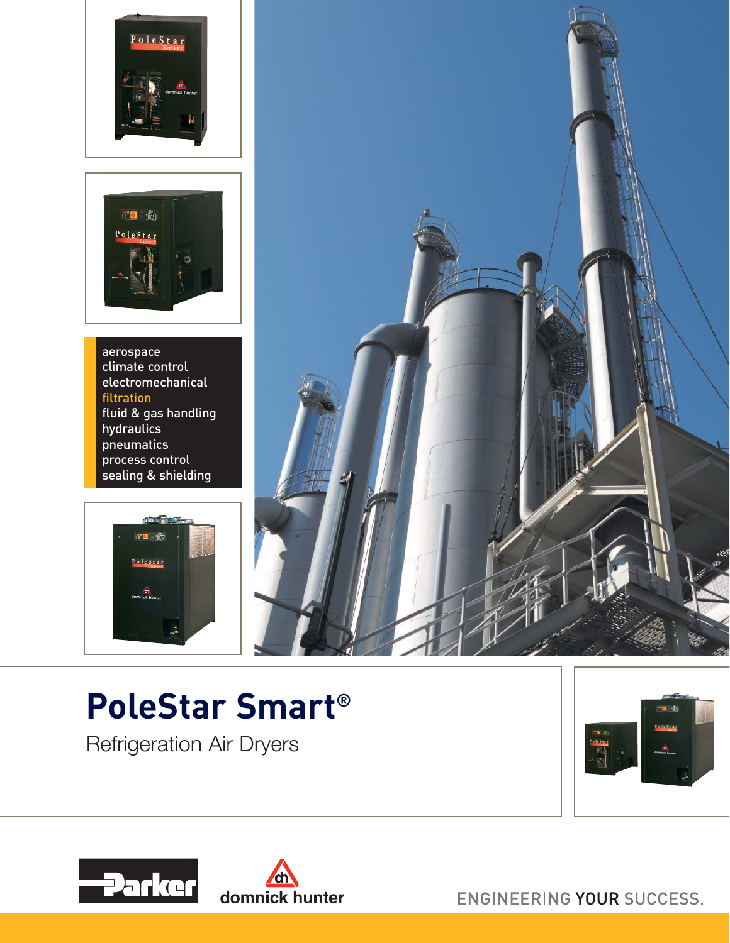



aerospace climate control electromechanical filtration fluid & gas handling hydraulics pneumatics process control .<br>sealing & shielding





## **PoleStar Smart®**

Refrigeration Air Dryers







ENGINEERING YOUR SUCCESS.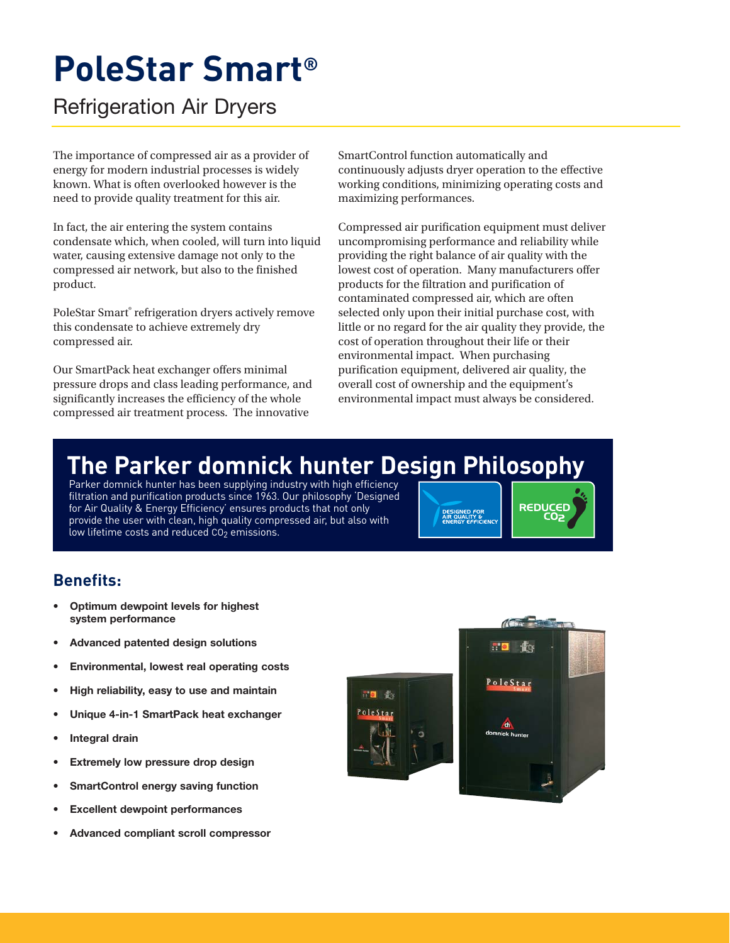## **PoleStar Smart®**

Refrigeration Air Dryers

The importance of compressed air as a provider of energy for modern industrial processes is widely known. What is often overlooked however is the need to provide quality treatment for this air.

In fact, the air entering the system contains condensate which, when cooled, will turn into liquid water, causing extensive damage not only to the compressed air network, but also to the finished product.

PoleStar Smart® refrigeration dryers actively remove this condensate to achieve extremely dry compressed air.

Our SmartPack heat exchanger offers minimal pressure drops and class leading performance, and significantly increases the efficiency of the whole compressed air treatment process. The innovative

SmartControl function automatically and continuously adjusts dryer operation to the effective working conditions, minimizing operating costs and maximizing performances.

Compressed air purification equipment must deliver uncompromising performance and reliability while providing the right balance of air quality with the lowest cost of operation. Many manufacturers offer products for the filtration and purification of contaminated compressed air, which are often selected only upon their initial purchase cost, with little or no regard for the air quality they provide, the cost of operation throughout their life or their environmental impact. When purchasing purification equipment, delivered air quality, the overall cost of ownership and the equipment's environmental impact must always be considered.

## **The Parker domnick hunter Design Philosophy**

Parker domnick hunter has been supplying industry with high efficiency filtration and purification products since 1963. Our philosophy 'Designed for Air Quality & Energy Efficiency' ensures products that not only provide the user with clean, high quality compressed air, but also with low lifetime costs and reduced  $CO<sub>2</sub>$  emissions.

DESIGNED FOR<br>AIR QUALITY &<br>ENERGY EFFICIENC

## **Benefits:**

- **Optimum dewpoint levels for highest system performance**
- **Advanced patented design solutions**
- **Environmental, lowest real operating costs**
- **High reliability, easy to use and maintain**
- **Unique 4-in-1 SmartPack heat exchanger**
- **Integral drain**
- **Extremely low pressure drop design**
- **SmartControl energy saving function**
- **Excellent dewpoint performances**
- **Advanced compliant scroll compressor**





REDUCED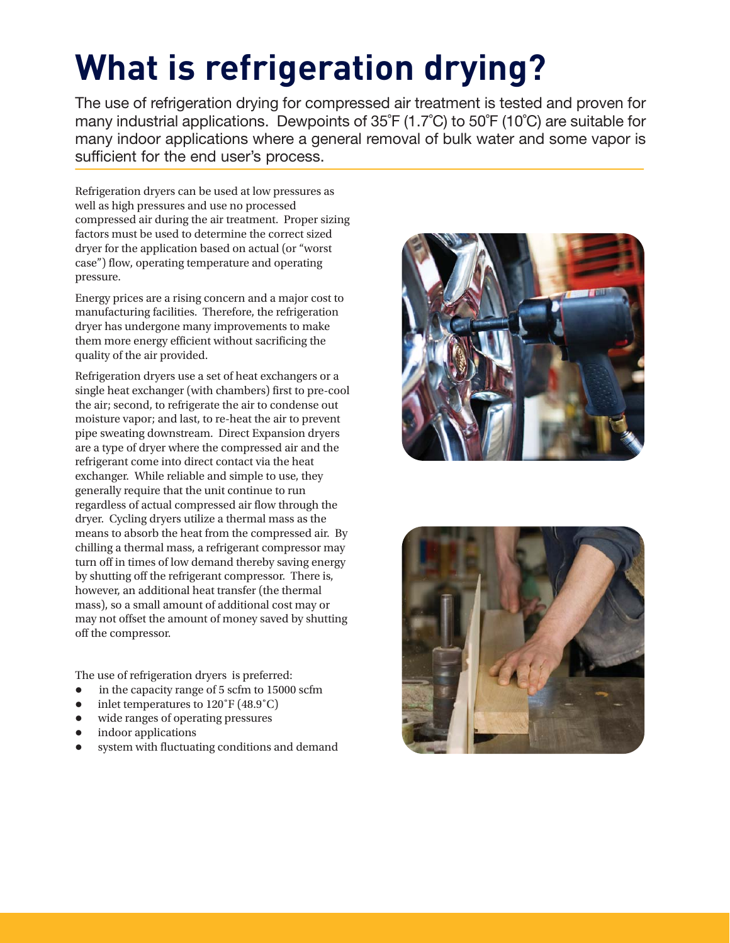# **What is refrigeration drying?**

The use of refrigeration drying for compressed air treatment is tested and proven for many industrial applications. Dewpoints of 35˚F (1.7˚C) to 50˚F (10˚C) are suitable for many indoor applications where a general removal of bulk water and some vapor is sufficient for the end user's process.

Refrigeration dryers can be used at low pressures as well as high pressures and use no processed compressed air during the air treatment. Proper sizing factors must be used to determine the correct sized dryer for the application based on actual (or "worst case") flow, operating temperature and operating pressure.

Energy prices are a rising concern and a major cost to manufacturing facilities. Therefore, the refrigeration dryer has undergone many improvements to make them more energy efficient without sacrificing the quality of the air provided.

Refrigeration dryers use a set of heat exchangers or a single heat exchanger (with chambers) first to pre-cool the air; second, to refrigerate the air to condense out moisture vapor; and last, to re-heat the air to prevent pipe sweating downstream. Direct Expansion dryers are a type of dryer where the compressed air and the refrigerant come into direct contact via the heat exchanger. While reliable and simple to use, they generally require that the unit continue to run regardless of actual compressed air flow through the dryer. Cycling dryers utilize a thermal mass as the means to absorb the heat from the compressed air. By chilling a thermal mass, a refrigerant compressor may turn off in times of low demand thereby saving energy by shutting off the refrigerant compressor. There is, however, an additional heat transfer (the thermal mass), so a small amount of additional cost may or may not offset the amount of money saved by shutting off the compressor.

The use of refrigeration dryers is preferred:

- $\bullet$ in the capacity range of 5 scfm to 15000 scfm
- $\bullet$ inlet temperatures to 120˚F (48.9˚C)
- $\bullet$ wide ranges of operating pressures
- $\bullet$ indoor applications
- $\bullet$ system with fluctuating conditions and demand



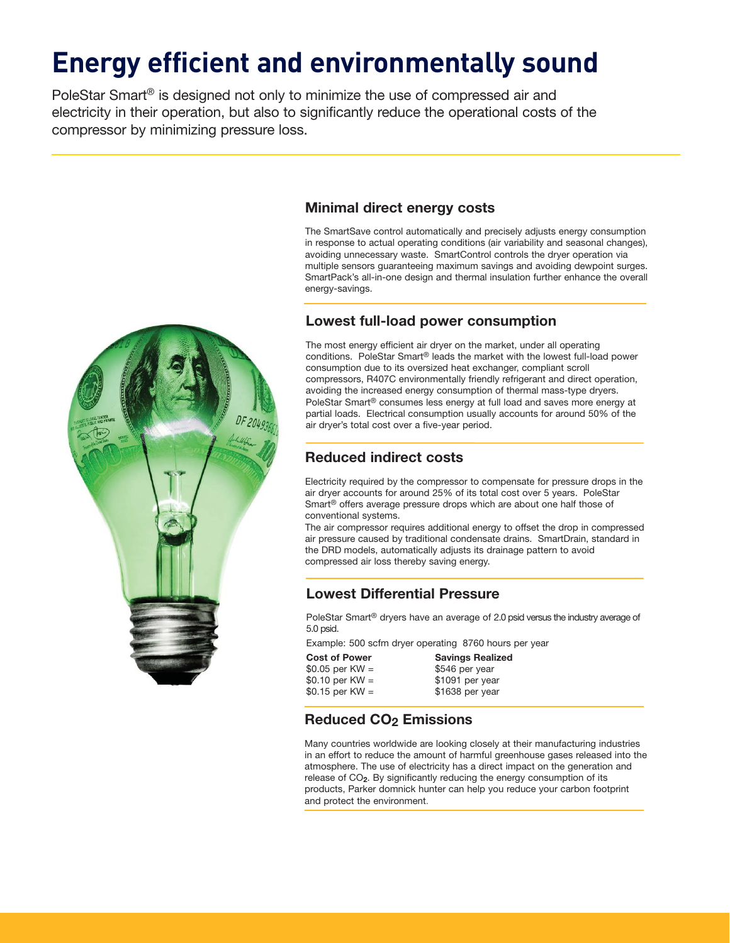## **Energy efficient and environmentally sound**

PoleStar Smart® is designed not only to minimize the use of compressed air and electricity in their operation, but also to significantly reduce the operational costs of the compressor by minimizing pressure loss.



## **Minimal direct energy costs**

The SmartSave control automatically and precisely adjusts energy consumption in response to actual operating conditions (air variability and seasonal changes), avoiding unnecessary waste. SmartControl controls the dryer operation via multiple sensors guaranteeing maximum savings and avoiding dewpoint surges. SmartPack's all-in-one design and thermal insulation further enhance the overall energy-savings.

## **Lowest full-load power consumption**

The most energy efficient air dryer on the market, under all operating conditions. PoleStar Smart® leads the market with the lowest full-load power consumption due to its oversized heat exchanger, compliant scroll compressors, R407C environmentally friendly refrigerant and direct operation, avoiding the increased energy consumption of thermal mass-type dryers. PoleStar Smart® consumes less energy at full load and saves more energy at partial loads. Electrical consumption usually accounts for around 50% of the air dryer's total cost over a five-year period.

## **Reduced indirect costs**

Electricity required by the compressor to compensate for pressure drops in the air dryer accounts for around 25% of its total cost over 5 years. PoleStar Smart® offers average pressure drops which are about one half those of conventional systems.

The air compressor requires additional energy to offset the drop in compressed air pressure caused by traditional condensate drains. SmartDrain, standard in the DRD models, automatically adjusts its drainage pattern to avoid compressed air loss thereby saving energy.

## **Lowest Differential Pressure**

PoleStar Smart<sup>®</sup> dryers have an average of 2.0 psid versus the industry average of 5.0 psid.

Example: 500 scfm dryer operating 8760 hours per year

| <b>Savings Realized</b> |
|-------------------------|
| \$546 per year          |
| \$1091 per year         |
| \$1638 per year         |
|                         |

## **Reduced CO2 Emissions**

Many countries worldwide are looking closely at their manufacturing industries in an effort to reduce the amount of harmful greenhouse gases released into the atmosphere. The use of electricity has a direct impact on the generation and release of CO**2**. By significantly reducing the energy consumption of its products, Parker domnick hunter can help you reduce your carbon footprint and protect the environment.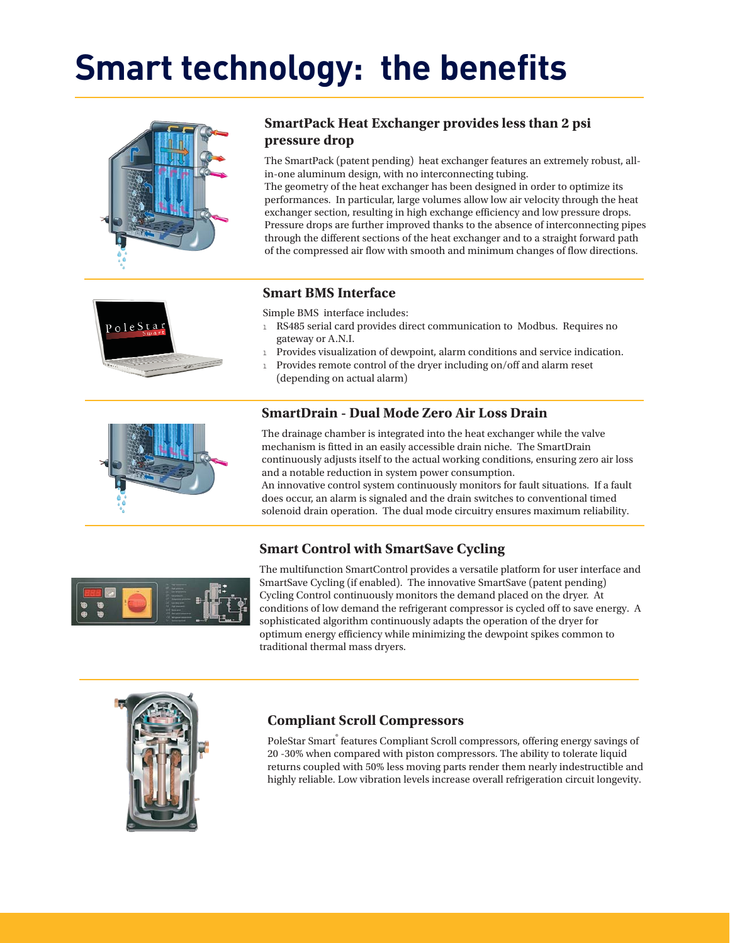## **Smart technology: the benefits**





The SmartPack (patent pending) heat exchanger features an extremely robust, allin-one aluminum design, with no interconnecting tubing.

The geometry of the heat exchanger has been designed in order to optimize its performances. In particular, large volumes allow low air velocity through the heat exchanger section, resulting in high exchange efficiency and low pressure drops. Pressure drops are further improved thanks to the absence of interconnecting pipes through the different sections of the heat exchanger and to a straight forward path of the compressed air flow with smooth and minimum changes of flow directions.



## **Smart BMS Interface**

Simple BMS interface includes:

- 1 RS485 serial card provides direct communication to Modbus. Requires no gateway or A.N.I.
- <sup>l</sup> Provides visualization of dewpoint, alarm conditions and service indication.
- 1 Provides remote control of the dryer including on/off and alarm reset (depending on actual alarm)

## **SmartDrain - Dual Mode Zero Air Loss Drain**

The drainage chamber is integrated into the heat exchanger while the valve mechanism is fitted in an easily accessible drain niche. The SmartDrain continuously adjusts itself to the actual working conditions, ensuring zero air loss and a notable reduction in system power consumption.

An innovative control system continuously monitors for fault situations. If a fault does occur, an alarm is signaled and the drain switches to conventional timed solenoid drain operation. The dual mode circuitry ensures maximum reliability.

## **Smart Control with SmartSave Cycling**



The multifunction SmartControl provides a versatile platform for user interface and SmartSave Cycling (if enabled). The innovative SmartSave (patent pending) Cycling Control continuously monitors the demand placed on the dryer. At conditions of low demand the refrigerant compressor is cycled off to save energy. A sophisticated algorithm continuously adapts the operation of the dryer for optimum energy efficiency while minimizing the dewpoint spikes common to traditional thermal mass dryers.



## **Compliant Scroll Compressors**

PoleStar Smart® features Compliant Scroll compressors, offering energy savings of 20 -30% when compared with piston compressors. The ability to tolerate liquid returns coupled with 50% less moving parts render them nearly indestructible and highly reliable. Low vibration levels increase overall refrigeration circuit longevity.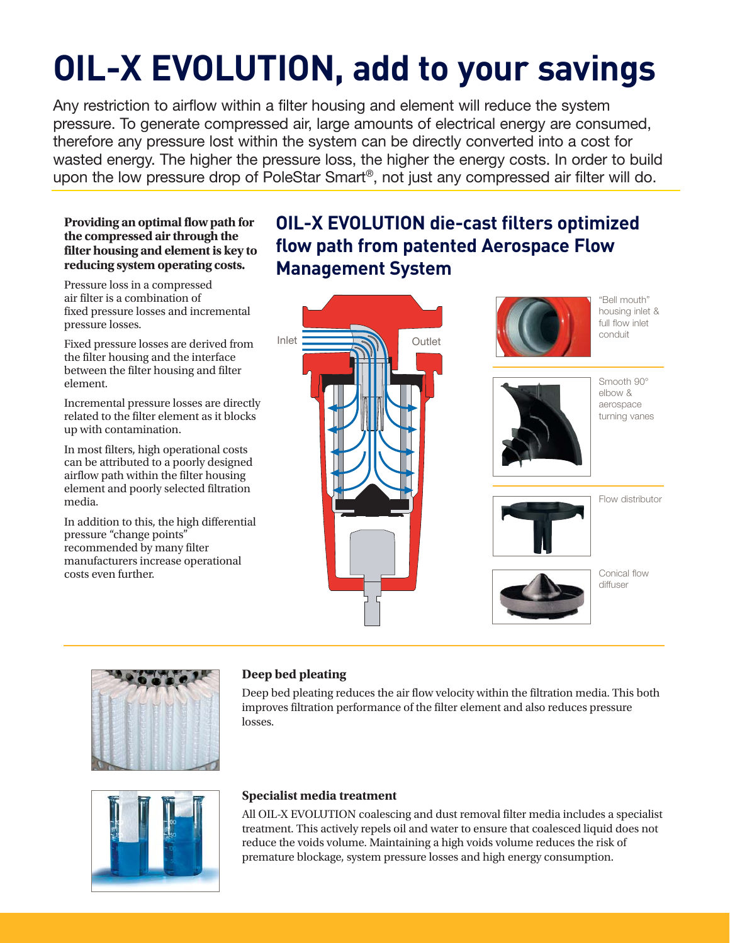# **OIL-X EVOLUTION, add to your savings**

Any restriction to airflow within a filter housing and element will reduce the system pressure. To generate compressed air, large amounts of electrical energy are consumed, therefore any pressure lost within the system can be directly converted into a cost for wasted energy. The higher the pressure loss, the higher the energy costs. In order to build upon the low pressure drop of PoleStar Smart®, not just any compressed air filter will do.

### **Providing an optimal flow path for the compressed air through the filter housing and element is key to reducing system operating costs.**

Pressure loss in a compressed air filter is a combination of fixed pressure losses and incremental pressure losses.

Fixed pressure losses are derived from the filter housing and the interface between the filter housing and filter element.

Incremental pressure losses are directly related to the filter element as it blocks up with contamination.

In most filters, high operational costs can be attributed to a poorly designed airflow path within the filter housing element and poorly selected filtration media.

In addition to this, the high differential pressure "change points" recommended by many filter manufacturers increase operational costs even further.

## **OIL-X EVOLUTION die-cast filters optimized flow path from patented Aerospace Flow Management System**





"Bell mouth" housing inlet & full flow inlet conduit



Smooth 90° elbow & aerospace turning vanes



Flow distributor



Conical flow diffuser



## **Deep bed pleating**

Deep bed pleating reduces the air flow velocity within the filtration media. This both improves filtration performance of the filter element and also reduces pressure losses.



## **Specialist media treatment**

All OIL-X EVOLUTION coalescing and dust removal filter media includes a specialist treatment. This actively repels oil and water to ensure that coalesced liquid does not reduce the voids volume. Maintaining a high voids volume reduces the risk of premature blockage, system pressure losses and high energy consumption.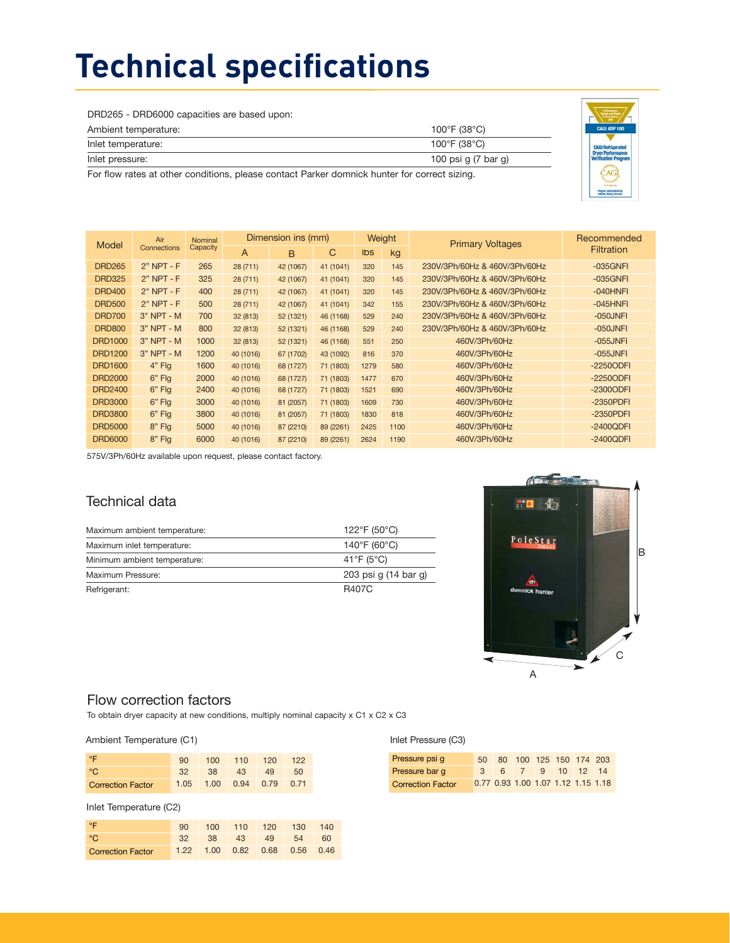## **Technical specifications**

DRD265 - DRD6000 capacities are based upon:

| Ambient temperature:                                                                                              | 100°F (38°C)        |
|-------------------------------------------------------------------------------------------------------------------|---------------------|
| Inlet temperature:                                                                                                | 100°F (38°C)        |
| Inlet pressure:                                                                                                   | 100 psi g (7 bar g) |
| . Education and all control different all control of Bellev development and control of the control of the control |                     |

For flow rates at other conditions, please contact Parker domnick hunter for correct sizing.



| Air<br>Model   |              | <b>Nominal</b> | Dimension ins (mm) |           | Weight    |           | <b>Primary Voltages</b> | Recommended                   |                   |
|----------------|--------------|----------------|--------------------|-----------|-----------|-----------|-------------------------|-------------------------------|-------------------|
|                | Connections  | Capacity       | $\overline{A}$     | C<br>B    |           | Ibs<br>kg |                         |                               | <b>Filtration</b> |
| <b>DRD265</b>  | $2"$ NPT - F | 265            | 28 (711)           | 42 (1067) | 41 (1041) | 320       | 145                     | 230V/3Ph/60Hz & 460V/3Ph/60Hz | $-035$ GNFI       |
| <b>DRD325</b>  | $2"$ NPT - F | 325            | 28 (711)           | 42 (1067) | 41 (1041) | 320       | 145                     | 230V/3Ph/60Hz & 460V/3Ph/60Hz | $-035$ GNFI       |
| <b>DRD400</b>  | $2"$ NPT - F | 400            | 28 (711)           | 42 (1067) | 41 (1041) | 320       | 145                     | 230V/3Ph/60Hz & 460V/3Ph/60Hz | -040HNFI          |
| <b>DRD500</b>  | $2"$ NPT - F | 500            | 28(711)            | 42 (1067) | 41 (1041) | 342       | 155                     | 230V/3Ph/60Hz & 460V/3Ph/60Hz | $-045$ HNFI       |
| <b>DRD700</b>  | $3"$ NPT - M | 700            | 32 (813)           | 52 (1321) | 46 (1168) | 529       | 240                     | 230V/3Ph/60Hz & 460V/3Ph/60Hz | $-050$ JNFI       |
| <b>DRD800</b>  | $3"$ NPT - M | 800            | 32 (813)           | 52 (1321) | 46 (1168) | 529       | 240                     | 230V/3Ph/60Hz & 460V/3Ph/60Hz | $-050$ JNFI       |
| DRD1000        | $3"$ NPT - M | 1000           | 32 (813)           | 52 (1321) | 46 (1168) | 551       | 250                     | 460V/3Ph/60Hz                 | $-055$ JNFI       |
| <b>DRD1200</b> | $3"$ NPT - M | 1200           | 40 (1016)          | 67 (1702) | 43 (1092) | 816       | 370                     | 460V/3Ph/60Hz                 | $-055$ JNFI       |
| <b>DRD1600</b> | $4"$ Flg     | 1600           | 40 (1016)          | 68 (1727) | 71 (1803) | 1279      | 580                     | 460V/3Ph/60Hz                 | $-2250$ ODFI      |
| <b>DRD2000</b> | $6"$ Flg     | 2000           | 40 (1016)          | 68 (1727) | 71 (1803) | 1477      | 670                     | 460V/3Ph/60Hz                 | $-2250$ ODFI      |
| <b>DRD2400</b> | $6"$ Flg     | 2400           | 40 (1016)          | 68 (1727) | 71 (1803) | 1521      | 690                     | 460V/3Ph/60Hz                 | -2300ODFI         |
| <b>DRD3000</b> | $6"$ Flg     | 3000           | 40 (1016)          | 81 (2057) | 71 (1803) | 1609      | 730                     | 460V/3Ph/60Hz                 | $-2350$ PDFI      |
| <b>DRD3800</b> | $6"$ Flg     | 3800           | 40 (1016)          | 81 (2057) | 71 (1803) | 1830      | 818                     | 460V/3Ph/60Hz                 | $-2350$ PDFI      |
| <b>DRD5000</b> | $8"$ Flg     | 5000           | 40 (1016)          | 87 (2210) | 89 (2261) | 2425      | 1100                    | 460V/3Ph/60Hz                 | $-2400QDFI$       |
| <b>DRD6000</b> | 8" Flg       | 6000           | 40 (1016)          | 87 (2210) | 89 (2261) | 2624      | 1190                    | 460V/3Ph/60Hz                 | $-2400QDFI$       |

575V/3Ph/60Hz available upon request, please contact factory.

## Technical data

| Maximum ambient temperature: | 122°F (50°C)                      |
|------------------------------|-----------------------------------|
| Maximum inlet temperature:   | $140^{\circ}$ F (60 $^{\circ}$ C) |
| Minimum ambient temperature: | 41°F (5°C)                        |
| Maximum Pressure:            | 203 psi g (14 bar g)              |
| Refrigerant:                 | <b>R407C</b>                      |



## Flow correction factors

To obtain dryer capacity at new conditions, multiply nominal capacity x C1 x C2 x C3

#### Ambient Temperature (C1)

| $^{\circ}$        | 90.             | $100 -$                  | $110$ 120 |    | 122 |
|-------------------|-----------------|--------------------------|-----------|----|-----|
| ം .               | 32 <sup>7</sup> | $-38$                    | 43        | 49 | 50  |
| Correction Factor |                 | 1.05 1.00 0.94 0.79 0.71 |           |    |     |

#### Inlet Temperature (C2)

| $^{\circ}$        | 90. |                               | 100 110 120 130 140 |  |
|-------------------|-----|-------------------------------|---------------------|--|
| ം.                |     | 32 38 43 49 54 60             |                     |  |
| Correction Factor |     | 1.22 1.00 0.82 0.68 0.56 0.46 |                     |  |

## Inlet Pressure (C3)

| Pressure psi q           |  | 50 80 100 125 150 174 203          |  |  |
|--------------------------|--|------------------------------------|--|--|
| Pressure bar q           |  | 3 6 7 9 10 12 14                   |  |  |
| <b>Correction Factor</b> |  | 0.77 0.93 1.00 1.07 1.12 1.15 1.18 |  |  |